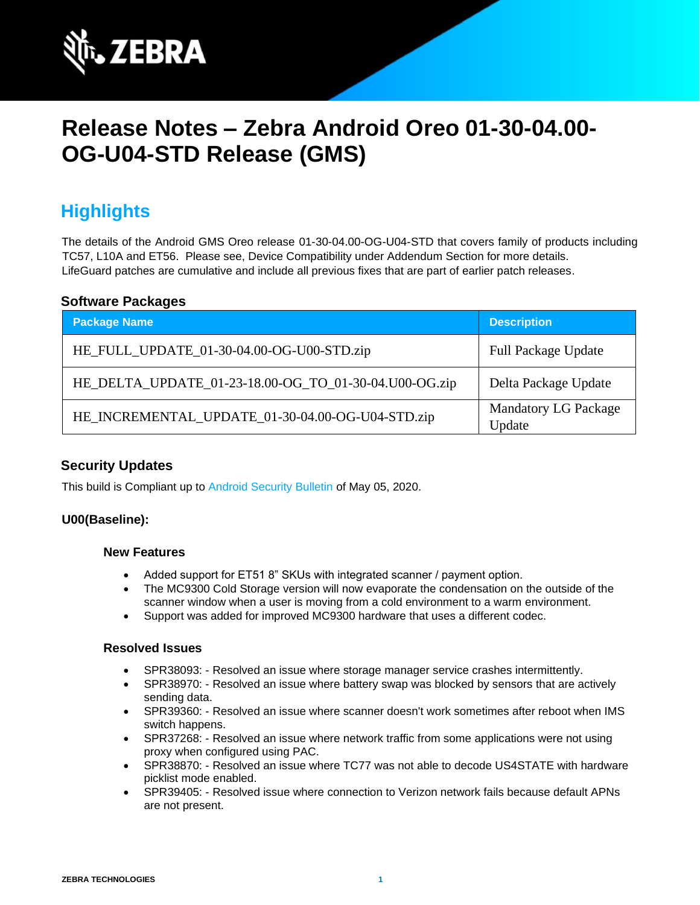

# **Release Notes – Zebra Android Oreo 01-30-04.00- OG-U04-STD Release (GMS)**

## **Highlights**

The details of the Android GMS Oreo release 01-30-04.00-OG-U04-STD that covers family of products including TC57, L10A and ET56. Please see, Device Compatibility under Addendum Section for more details. LifeGuard patches are cumulative and include all previous fixes that are part of earlier patch releases.

#### **Software Packages**

| <b>Package Name</b>                                   | <b>Description</b>                    |
|-------------------------------------------------------|---------------------------------------|
| HE_FULL_UPDATE_01-30-04.00-OG-U00-STD.zip             | <b>Full Package Update</b>            |
| HE_DELTA_UPDATE_01-23-18.00-OG_TO_01-30-04.U00-OG.zip | Delta Package Update                  |
| HE_INCREMENTAL_UPDATE_01-30-04.00-OG-U04-STD.zip      | <b>Mandatory LG Package</b><br>Update |

### **Security Updates**

This build is Compliant up to [Android Security Bulletin](https://source.android.com/security/bulletin/) of May 05, 2020.

#### **U00(Baseline):**

#### **New Features**

- Added support for ET51 8" SKUs with integrated scanner / payment option.
- The MC9300 Cold Storage version will now evaporate the condensation on the outside of the scanner window when a user is moving from a cold environment to a warm environment.
- Support was added for improved MC9300 hardware that uses a different codec.

#### **Resolved Issues**

- SPR38093: Resolved an issue where storage manager service crashes intermittently.
- SPR38970: Resolved an issue where battery swap was blocked by sensors that are actively sending data.
- SPR39360: Resolved an issue where scanner doesn't work sometimes after reboot when IMS switch happens.
- SPR37268: Resolved an issue where network traffic from some applications were not using proxy when configured using PAC.
- SPR38870: Resolved an issue where TC77 was not able to decode US4STATE with hardware picklist mode enabled.
- SPR39405: Resolved issue where connection to Verizon network fails because default APNs are not present.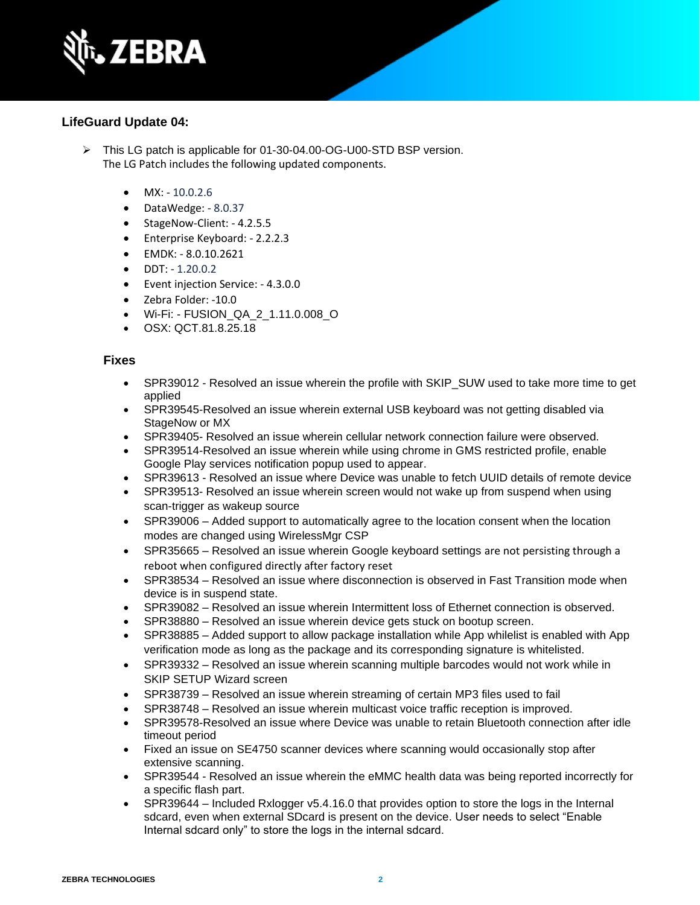

#### **LifeGuard Update 04:**

- ➢ This LG patch is applicable for 01-30-04.00-OG-U00-STD BSP version. The LG Patch includes the following updated components.
	- $MX: -10.0.2.6$
	- DataWedge: 8.0.37
	- StageNow-Client: 4.2.5.5
	- Enterprise Keyboard: 2.2.2.3
	- EMDK: 8.0.10.2621
	- $\bullet$  DDT:  $-1.20.0.2$
	- Event injection Service: 4.3.0.0
	- Zebra Folder: -10.0
	- Wi-Fi: FUSION\_QA\_2\_1.11.0.008\_O
	- OSX: QCT.81.8.25.18

#### **Fixes**

- SPR39012 Resolved an issue wherein the profile with SKIP SUW used to take more time to get applied
- SPR39545-Resolved an issue wherein external USB keyboard was not getting disabled via StageNow or MX
- SPR39405- Resolved an issue wherein cellular network connection failure were observed.
- SPR39514-Resolved an issue wherein while using chrome in GMS restricted profile, enable Google Play services notification popup used to appear.
- SPR39613 Resolved an issue where Device was unable to fetch UUID details of remote device
- SPR39513- Resolved an issue wherein screen would not wake up from suspend when using scan-trigger as wakeup source
- SPR39006 Added support to automatically agree to the location consent when the location modes are changed using WirelessMgr CSP
- SPR35665 Resolved an issue wherein Google keyboard settings are not persisting through a reboot when configured directly after factory reset
- SPR38534 Resolved an issue where disconnection is observed in Fast Transition mode when device is in suspend state.
- SPR39082 Resolved an issue wherein Intermittent loss of Ethernet connection is observed.
- SPR38880 Resolved an issue wherein device gets stuck on bootup screen.
- SPR38885 Added support to allow package installation while App whilelist is enabled with App verification mode as long as the package and its corresponding signature is whitelisted.
- SPR39332 Resolved an issue wherein scanning multiple barcodes would not work while in SKIP SETUP Wizard screen
- SPR38739 Resolved an issue wherein streaming of certain MP3 files used to fail
- SPR38748 Resolved an issue wherein multicast voice traffic reception is improved.
- SPR39578-Resolved an issue where Device was unable to retain Bluetooth connection after idle timeout period
- Fixed an issue on SE4750 scanner devices where scanning would occasionally stop after extensive scanning.
- SPR39544 Resolved an issue wherein the eMMC health data was being reported incorrectly for a specific flash part.
- SPR39644 Included Rxlogger v5.4.16.0 that provides option to store the logs in the Internal sdcard, even when external SDcard is present on the device. User needs to select "Enable Internal sdcard only" to store the logs in the internal sdcard.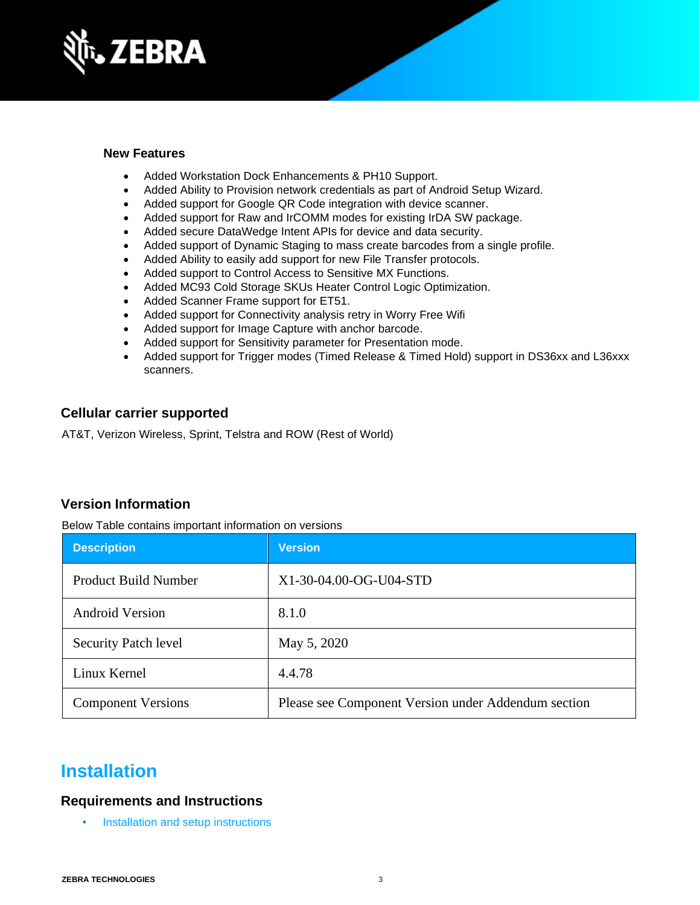

### **New Features**

- Added Workstation Dock Enhancements & PH10 Support.
- Added Ability to Provision network credentials as part of Android Setup Wizard.
- Added support for Google QR Code integration with device scanner.
- Added support for Raw and IrCOMM modes for existing IrDA SW package.
- Added secure DataWedge Intent APIs for device and data security.
- Added support of Dynamic Staging to mass create barcodes from a single profile.
- Added Ability to easily add support for new File Transfer protocols.
- Added support to Control Access to Sensitive MX Functions.
- Added MC93 Cold Storage SKUs Heater Control Logic Optimization.
- Added Scanner Frame support for ET51.
- Added support for Connectivity analysis retry in Worry Free Wifi
- Added support for Image Capture with anchor barcode.
- Added support for Sensitivity parameter for Presentation mode.
- Added support for Trigger modes (Timed Release & Timed Hold) support in DS36xx and L36xxx scanners.

### **Cellular carrier supported**

AT&T, Verizon Wireless, Sprint, Telstra and ROW (Rest of World)

### **Version Information**

Below Table contains important information on versions

| <b>Description</b>          | <b>Version</b>                                      |
|-----------------------------|-----------------------------------------------------|
| <b>Product Build Number</b> | X1-30-04.00-OG-U04-STD                              |
| <b>Android Version</b>      | 8.1.0                                               |
| <b>Security Patch level</b> | May 5, 2020                                         |
| Linux Kernel                | 4.4.78                                              |
| <b>Component Versions</b>   | Please see Component Version under Addendum section |

## **Installation**

### **Requirements and Instructions**

• [Installation and setup instructions](https://www.zebra.com/content/dam/zebra_new_ia/en-us/software/operating-system/helios/oreo-os-update-instructions.pdf)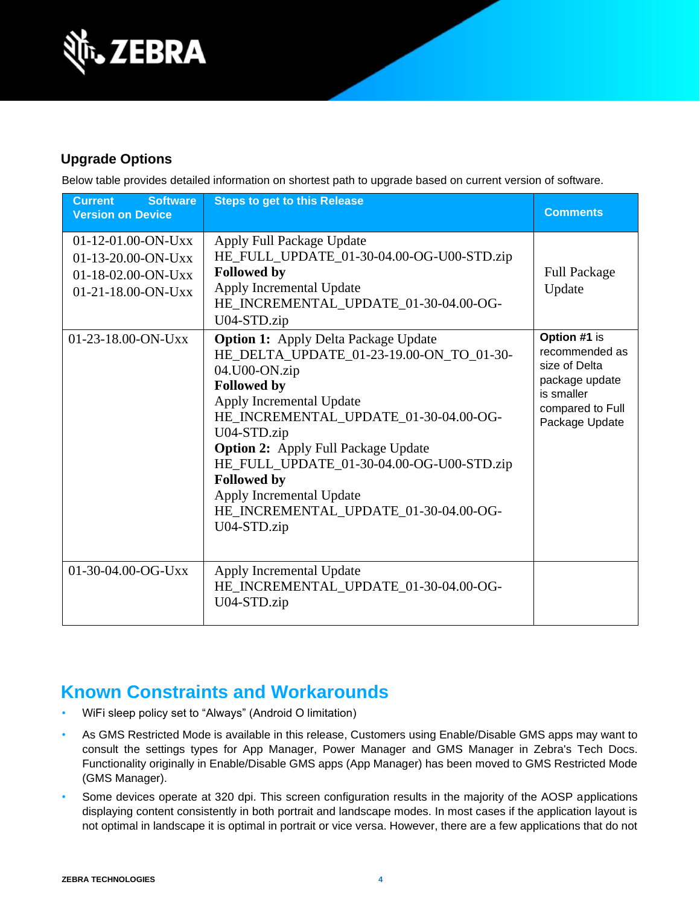

### **Upgrade Options**

Below table provides detailed information on shortest path to upgrade based on current version of software.

| <b>Software</b><br><b>Current</b><br><b>Version on Device</b>                            | <b>Steps to get to this Release</b>                                                                                                                                                                                                                                                                                                                                                                                     | <b>Comments</b>                                                                                                       |
|------------------------------------------------------------------------------------------|-------------------------------------------------------------------------------------------------------------------------------------------------------------------------------------------------------------------------------------------------------------------------------------------------------------------------------------------------------------------------------------------------------------------------|-----------------------------------------------------------------------------------------------------------------------|
| $01-12-01.00-ON-Uxx$<br>01-13-20.00-ON-Uxx<br>01-18-02.00-ON-Uxx<br>$01-21-18.00-ON-UXX$ | Apply Full Package Update<br>HE_FULL_UPDATE_01-30-04.00-OG-U00-STD.zip<br><b>Followed by</b><br>Apply Incremental Update<br>HE_INCREMENTAL_UPDATE_01-30-04.00-OG-<br>U04-STD.zip                                                                                                                                                                                                                                        | <b>Full Package</b><br>Update                                                                                         |
| $01-23-18.00$ -ON-Uxx                                                                    | <b>Option 1:</b> Apply Delta Package Update<br>HE_DELTA_UPDATE_01-23-19.00-ON_TO_01-30-<br>04.U00-ON.zip<br><b>Followed by</b><br>Apply Incremental Update<br>HE_INCREMENTAL_UPDATE_01-30-04.00-OG-<br>U04-STD.zip<br><b>Option 2:</b> Apply Full Package Update<br>HE_FULL_UPDATE_01-30-04.00-OG-U00-STD.zip<br><b>Followed by</b><br>Apply Incremental Update<br>HE_INCREMENTAL_UPDATE_01-30-04.00-OG-<br>U04-STD.zip | Option #1 is<br>recommended as<br>size of Delta<br>package update<br>is smaller<br>compared to Full<br>Package Update |
| 01-30-04.00-OG-Uxx                                                                       | Apply Incremental Update<br>HE_INCREMENTAL_UPDATE_01-30-04.00-OG-<br>U04-STD.zip                                                                                                                                                                                                                                                                                                                                        |                                                                                                                       |

## **Known Constraints and Workarounds**

- WiFi sleep policy set to "Always" (Android O limitation)
- As GMS Restricted Mode is available in this release, Customers using Enable/Disable GMS apps may want to consult the settings types for App Manager, Power Manager and GMS Manager in Zebra's Tech Docs. Functionality originally in Enable/Disable GMS apps (App Manager) has been moved to GMS Restricted Mode (GMS Manager).
- Some devices operate at 320 dpi. This screen configuration results in the majority of the AOSP applications displaying content consistently in both portrait and landscape modes. In most cases if the application layout is not optimal in landscape it is optimal in portrait or vice versa. However, there are a few applications that do not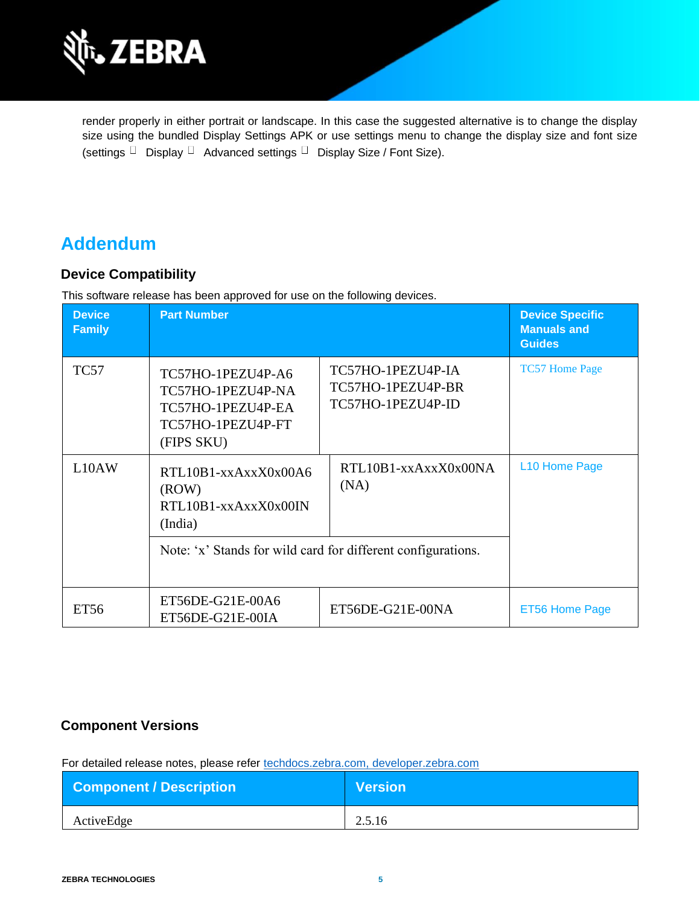

render properly in either portrait or landscape. In this case the suggested alternative is to change the display size using the bundled Display Settings APK or use settings menu to change the display size and font size (settings  $\Box$  Display  $\Box$  Advanced settings  $\Box$  Display Size / Font Size).

## **Addendum**

### **Device Compatibility**

This software release has been approved for use on the following devices.

| <b>Device</b><br><b>Family</b> | <b>Part Number</b>                                                                             |                                                             | <b>Device Specific</b><br><b>Manuals and</b><br><b>Guides</b> |
|--------------------------------|------------------------------------------------------------------------------------------------|-------------------------------------------------------------|---------------------------------------------------------------|
| <b>TC57</b>                    | TC57HO-1PEZU4P-A6<br>TC57HO-1PEZU4P-NA<br>TC57HO-1PEZU4P-EA<br>TC57HO-1PEZU4P-FT<br>(FIPS SKU) | TC57HO-1PEZU4P-IA<br>TC57HO-1PEZU4P-BR<br>TC57HO-1PEZU4P-ID | <b>TC57 Home Page</b>                                         |
| L10AW                          | RTL10B1-xxAxxX0x00A6<br>(ROW)<br>RTL10B1-xxAxxX0x00IN<br>(India)                               | RTL10B1-xxAxxX0x00NA<br>(NA)                                | L10 Home Page                                                 |
|                                | Note: 'x' Stands for wild card for different configurations.                                   |                                                             |                                                               |
| ET56                           | ET56DE-G21E-00A6<br>ET56DE-G21E-00IA                                                           | ET56DE-G21E-00NA                                            | ET56 Home Page                                                |

### **Component Versions**

For detailed release notes, please refer [techdocs.zebra.com,](https://techdocs.zebra.com/) [developer.zebra.com](https://developer.zebra.com/)

| <b>Component / Description</b> | <b>Version</b> |
|--------------------------------|----------------|
| ActiveEdge                     | 2.5.16         |